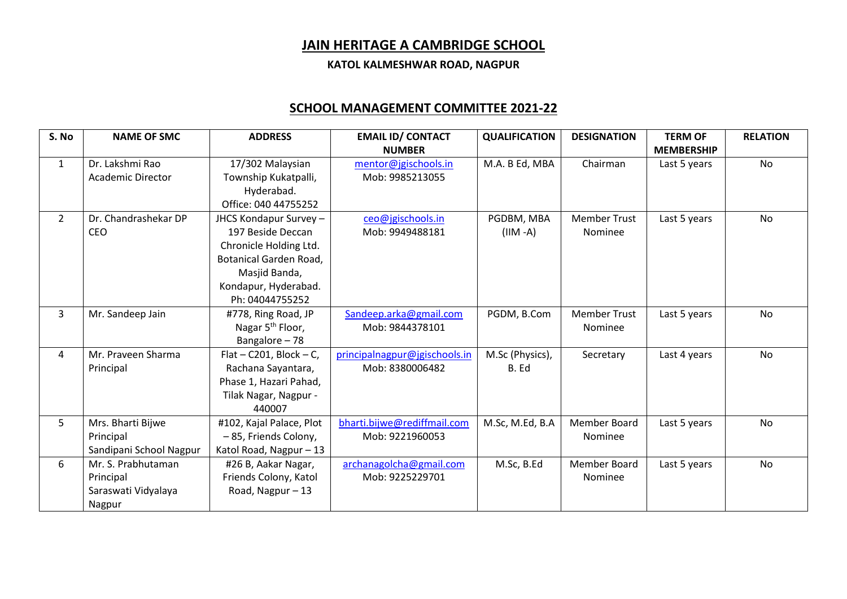## **JAIN HERITAGE A CAMBRIDGE SCHOOL**

**KATOL KALMESHWAR ROAD, NAGPUR**

## **SCHOOL MANAGEMENT COMMITTEE 2021-22**

| S. No          | <b>NAME OF SMC</b>       | <b>ADDRESS</b>               | <b>EMAIL ID/ CONTACT</b>      | <b>QUALIFICATION</b> | <b>DESIGNATION</b>  | <b>TERM OF</b>    | <b>RELATION</b> |
|----------------|--------------------------|------------------------------|-------------------------------|----------------------|---------------------|-------------------|-----------------|
|                |                          |                              | <b>NUMBER</b>                 |                      |                     | <b>MEMBERSHIP</b> |                 |
| $\mathbf{1}$   | Dr. Lakshmi Rao          | 17/302 Malaysian             | mentor@jgischools.in          | M.A. B Ed, MBA       | Chairman            | Last 5 years      | <b>No</b>       |
|                | <b>Academic Director</b> | Township Kukatpalli,         | Mob: 9985213055               |                      |                     |                   |                 |
|                |                          | Hyderabad.                   |                               |                      |                     |                   |                 |
|                |                          | Office: 040 44755252         |                               |                      |                     |                   |                 |
| $\overline{2}$ | Dr. Chandrashekar DP     | JHCS Kondapur Survey -       | ceo@jgischools.in             | PGDBM, MBA           | <b>Member Trust</b> | Last 5 years      | No              |
|                | <b>CEO</b>               | 197 Beside Deccan            | Mob: 9949488181               | $(HM - A)$           | <b>Nominee</b>      |                   |                 |
|                |                          | Chronicle Holding Ltd.       |                               |                      |                     |                   |                 |
|                |                          | Botanical Garden Road,       |                               |                      |                     |                   |                 |
|                |                          | Masjid Banda,                |                               |                      |                     |                   |                 |
|                |                          | Kondapur, Hyderabad.         |                               |                      |                     |                   |                 |
|                |                          | Ph: 04044755252              |                               |                      |                     |                   |                 |
| 3              | Mr. Sandeep Jain         | #778, Ring Road, JP          | Sandeep.arka@gmail.com        | PGDM, B.Com          | <b>Member Trust</b> | Last 5 years      | <b>No</b>       |
|                |                          | Nagar 5 <sup>th</sup> Floor, | Mob: 9844378101               |                      | <b>Nominee</b>      |                   |                 |
|                |                          | Bangalore-78                 |                               |                      |                     |                   |                 |
| 4              | Mr. Praveen Sharma       | Flat – C201, Block – C,      | principalnagpur@jgischools.in | M.Sc (Physics),      | Secretary           | Last 4 years      | <b>No</b>       |
|                | Principal                | Rachana Sayantara,           | Mob: 8380006482               | B. Ed                |                     |                   |                 |
|                |                          | Phase 1, Hazari Pahad,       |                               |                      |                     |                   |                 |
|                |                          | Tilak Nagar, Nagpur -        |                               |                      |                     |                   |                 |
|                |                          | 440007                       |                               |                      |                     |                   |                 |
| 5              | Mrs. Bharti Bijwe        | #102, Kajal Palace, Plot     | bharti.bijwe@rediffmail.com   | M.Sc, M.Ed, B.A      | Member Board        | Last 5 years      | No              |
|                | Principal                | -85, Friends Colony,         | Mob: 9221960053               |                      | Nominee             |                   |                 |
|                | Sandipani School Nagpur  | Katol Road, Nagpur-13        |                               |                      |                     |                   |                 |
| 6              | Mr. S. Prabhutaman       | #26 B, Aakar Nagar,          | archanagolcha@gmail.com       | M.Sc, B.Ed           | <b>Member Board</b> | Last 5 years      | No              |
|                | Principal                | Friends Colony, Katol        | Mob: 9225229701               |                      | Nominee             |                   |                 |
|                | Saraswati Vidyalaya      | Road, Nagpur - 13            |                               |                      |                     |                   |                 |
|                | Nagpur                   |                              |                               |                      |                     |                   |                 |